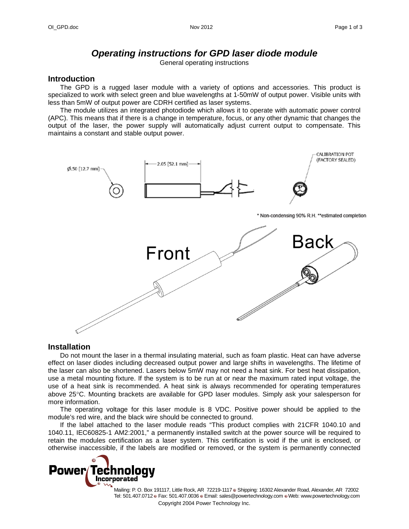# *Operating instructions for GPD laser diode module*

General operating instructions

#### **Introduction**

The GPD is a rugged laser module with a variety of options and accessories. This product is specialized to work with select green and blue wavelengths at 1-50mW of output power. Visible units with less than 5mW of output power are CDRH certified as laser systems.

The module utilizes an integrated photodiode which allows it to operate with automatic power control (APC). This means that if there is a change in temperature, focus, or any other dynamic that changes the output of the laser, the power supply will automatically adjust current output to compensate. This maintains a constant and stable output power.



#### **Installation**

Do not mount the laser in a thermal insulating material, such as foam plastic. Heat can have adverse effect on laser diodes including decreased output power and large shifts in wavelengths. The lifetime of the laser can also be shortened. Lasers below 5mW may not need a heat sink. For best heat dissipation, use a metal mounting fixture. If the system is to be run at or near the maximum rated input voltage, the use of a heat sink is recommended. A heat sink is always recommended for operating temperatures above 25°C. Mounting brackets are available for GPD laser modules. Simply ask your salesperson for more information.

The operating voltage for this laser module is 8 VDC. Positive power should be applied to the module's red wire, and the black wire should be connected to ground.

If the label attached to the laser module reads "This product complies with 21CFR 1040.10 and 1040.11, IEC60825-1 AM2:2001," a permanently installed switch at the power source will be required to retain the modules certification as a laser system. This certification is void if the unit is enclosed, or otherwise inaccessible, if the labels are modified or removed, or the system is permanently connected



Copyright 2004 Power Technology Inc. Mailing: P. O. Box 191117, Little Rock, AR 72219-1117 Shipping: 16302 Alexander Road, Alexander, AR 72002 Tel: 501.407.0712 Fax: 501.407.0036 Email: sales@powertechnology.com Web: www.powertechnology.com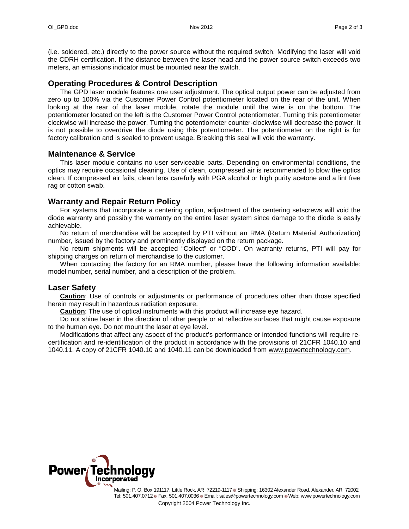(i.e. soldered, etc.) directly to the power source without the required switch. Modifying the laser will void the CDRH certification. If the distance between the laser head and the power source switch exceeds two meters, an emissions indicator must be mounted near the switch.

# **Operating Procedures & Control Description**

The GPD laser module features one user adjustment. The optical output power can be adjusted from zero up to 100% via the Customer Power Control potentiometer located on the rear of the unit. When looking at the rear of the laser module, rotate the module until the wire is on the bottom. The potentiometer located on the left is the Customer Power Control potentiometer. Turning this potentiometer clockwise will increase the power. Turning the potentiometer counter-clockwise will decrease the power. It is not possible to overdrive the diode using this potentiometer. The potentiometer on the right is for factory calibration and is sealed to prevent usage. Breaking this seal will void the warranty.

### **Maintenance & Service**

This laser module contains no user serviceable parts. Depending on environmental conditions, the optics may require occasional cleaning. Use of clean, compressed air is recommended to blow the optics clean. If compressed air fails, clean lens carefully with PGA alcohol or high purity acetone and a lint free rag or cotton swab.

## **Warranty and Repair Return Policy**

For systems that incorporate a centering option, adjustment of the centering setscrews will void the diode warranty and possibly the warranty on the entire laser system since damage to the diode is easily achievable.

No return of merchandise will be accepted by PTI without an RMA (Return Material Authorization) number, issued by the factory and prominently displayed on the return package.

No return shipments will be accepted "Collect" or "COD". On warranty returns, PTI will pay for shipping charges on return of merchandise to the customer.

When contacting the factory for an RMA number, please have the following information available: model number, serial number, and a description of the problem.

### **Laser Safety**

**Caution**: Use of controls or adjustments or performance of procedures other than those specified herein may result in hazardous radiation exposure.

**Caution**: The use of optical instruments with this product will increase eye hazard.

Do not shine laser in the direction of other people or at reflective surfaces that might cause exposure to the human eye. Do not mount the laser at eye level.

Modifications that affect any aspect of the product's performance or intended functions will require recertification and re-identification of the product in accordance with the provisions of 21CFR 1040.10 and 1040.11. A copy of 21CFR 1040.10 and 1040.11 can be downloaded from [www.powertechnology.com.](http://www.powertechnology.com/)



Copyright 2004 Power Technology Inc. Mailing: P. O. Box 191117, Little Rock, AR 72219-1117 Shipping: 16302 Alexander Road, Alexander, AR 72002 Tel: 501.407.0712 Fax: 501.407.0036 Email: sales@powertechnology.com Web: www.powertechnology.com